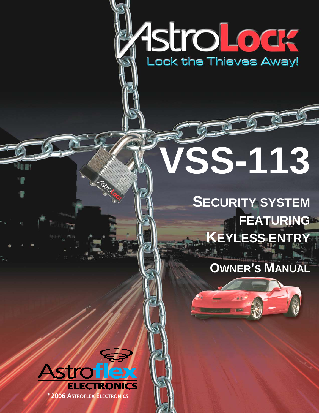# 1stroLodge

# **VSS-113**

# **SECURITY SYSTEM FEATURING KEYLESS ENTRY**

# **OWNER'S MANUAL**

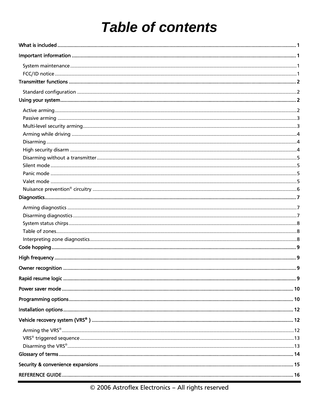# **Table of contents**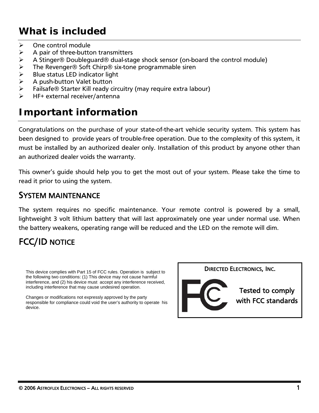# <span id="page-2-0"></span>*What is included*

- $\triangleright$  One control module
- $\triangleright$  A pair of three-button transmitters
- ¾ A Stinger® Doubleguard® dual-stage shock sensor (on-board the control module)
- The Revenger® Soft Chirp® six-tone programmable siren
- Blue status LED indicator light
- ¾ A push-button Valet button
- Failsafe® Starter Kill ready circuitry (may require extra labour)
- HF+ external receiver/antenna

# *Important information*

Congratulations on the purchase of your state-of-the-art vehicle security system. This system has been designed to provide years of trouble-free operation. Due to the complexity of this system, it must be installed by an authorized dealer only. Installation of this product by anyone other than an authorized dealer voids the warranty.

This owner's guide should help you to get the most out of your system. Please take the time to read it prior to using the system.

### SYSTEM MAINTENANCE

The system requires no specific maintenance. Your remote control is powered by a small, lightweight 3 volt lithium battery that will last approximately one year under normal use. When the battery weakens, operating range will be reduced and the LED on the remote will dim.

# FCC/ID NOTICE

This device complies with Part 15 of FCC rules. Operation is subject to **DIRECTED ELECTRONICS, INC.** the following two conditions: (1) This device may not cause harmful interference, and (2) his device must accept any interference received, including interference that may cause undesired operation.

Changes or modifications not expressly approved by the party responsible for compliance could void the user's authority to operate his device.



Tested to comply with FCC standards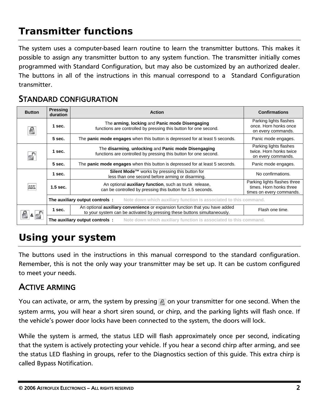# <span id="page-3-0"></span>*Transmitter functions*

The system uses a computer-based learn routine to learn the transmitter buttons. This makes it possible to assign any transmitter button to any system function. The transmitter initially comes programmed with Standard Configuration, but may also be customized by an authorized dealer. The buttons in all of the instructions in this manual correspond to a Standard Configuration transmitter.

## STANDARD CONFIGURATION

| <b>Button</b>  | <b>Pressing</b><br>duration | <b>Action</b>                                                                                                                                                   | <b>Confirmations</b>                                                                |
|----------------|-----------------------------|-----------------------------------------------------------------------------------------------------------------------------------------------------------------|-------------------------------------------------------------------------------------|
|                | $1$ sec.                    | The arming, locking and Panic mode Disengaging<br>functions are controlled by pressing this button for one second.                                              | Parking lights flashes<br>once. Horn honks once<br>on every commands.               |
|                | 5 sec.                      | The panic mode engages when this button is depressed for at least 5 seconds.                                                                                    | Panic mode engages.                                                                 |
|                | 1 sec.                      | The disarming, unlocking and Panic mode Disengaging<br>functions are controlled by pressing this button for one second.                                         | Parking lights flashes<br>twice. Horn honks twice<br>on every commands.             |
|                | $5$ sec.                    | The <b>panic mode engages</b> when this button is depressed for at least 5 seconds.                                                                             | Panic mode engages.                                                                 |
|                | 1 sec.                      | Silent Mode™ works by pressing this button for<br>less than one second before arming or disarming.                                                              | No confirmations.                                                                   |
|                | $1.5$ sec.                  | An optional <b>auxiliary function</b> , such as trunk release,<br>can be controlled by pressing this button for 1.5 seconds.                                    | Parking lights flashes three<br>times. Horn honks three<br>times on every commands. |
|                |                             | Note down which auxiliary function is associated to this command.<br>The auxiliary output controls:                                                             |                                                                                     |
| 8 <sub>1</sub> | 1 sec.                      | An optional <b>auxiliary convenience</b> or expansion function that you have added<br>to your system can be activated by pressing these buttons simultaneously. | Flash one time.                                                                     |
|                |                             | The auxiliary output controls:<br>Note down which auxiliary function is associated to this command.                                                             |                                                                                     |

# *Using your system*

The buttons used in the instructions in this manual correspond to the standard configuration. Remember, this is not the only way your transmitter may be set up. It can be custom configured to meet your needs.

## ACTIVE ARMING

You can activate, or arm, the system by pressing **on your transmitter for one second.** When the system arms, you will hear a short siren sound, or chirp, and the parking lights will flash once. If the vehicle's power door locks have been connected to the system, the doors will lock.

While the system is armed, the status LED will flash approximately once per second, indicating that the system is actively protecting your vehicle. If you hear a second chirp after arming, and see the status LED flashing in groups, refer to the Diagnostics section of this guide. This extra chirp is called Bypass Notification.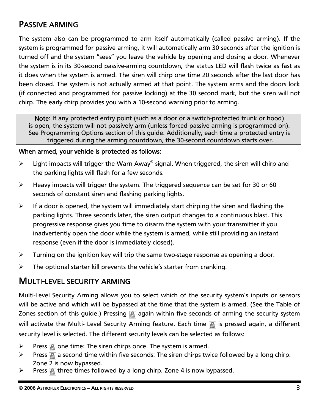# <span id="page-4-0"></span>PASSIVE ARMING

The system also can be programmed to arm itself automatically (called passive arming). If the system is programmed for passive arming, it will automatically arm 30 seconds after the ignition is turned off and the system "sees" you leave the vehicle by opening and closing a door. Whenever the system is in its 30-second passive-arming countdown, the status LED will flash twice as fast as it does when the system is armed. The siren will chirp one time 20 seconds after the last door has been closed. The system is not actually armed at that point. The system arms and the doors lock (if connected and programmed for passive locking) at the 30 second mark, but the siren will not chirp. The early chirp provides you with a 10-second warning prior to arming.

Note: If any protected entry point (such as a door or a switch-protected trunk or hood) is open, the system will not passively arm (unless forced passive arming is programmed on). See Programming Options section of this guide. Additionally, each time a protected entry is triggered during the arming countdown, the 30-second countdown starts over.

### When armed, your vehicle is protected as follows:

- $\triangleright$  Light impacts will trigger the Warn Away<sup>®</sup> signal. When triggered, the siren will chirp and the parking lights will flash for a few seconds.
- $\triangleright$  Heavy impacts will trigger the system. The triggered sequence can be set for 30 or 60 seconds of constant siren and flashing parking lights.
- $\triangleright$  If a door is opened, the system will immediately start chirping the siren and flashing the parking lights. Three seconds later, the siren output changes to a continuous blast. This progressive response gives you time to disarm the system with your transmitter if you inadvertently open the door while the system is armed, while still providing an instant response (even if the door is immediately closed).
- $\triangleright$  Turning on the ignition key will trip the same two-stage response as opening a door.
- $\triangleright$  The optional starter kill prevents the vehicle's starter from cranking.

### MULTI-LEVEL SECURITY ARMING

Multi-Level Security Arming allows you to select which of the security system's inputs or sensors will be active and which will be bypassed at the time that the system is armed. (See the Table of Zones section of this guide.) Pressing **A** again within five seconds of arming the security system will activate the Multi- Level Security Arming feature. Each time **in** is pressed again, a different security level is selected. The different security levels can be selected as follows:

- $\triangleright$  Press **P** one time: The siren chirps once. The system is armed.
- $\triangleright$  Press **a** a second time within five seconds: The siren chirps twice followed by a long chirp. Zone 2 is now bypassed.
- $\triangleright$  Press **A** three times followed by a long chirp. Zone 4 is now bypassed.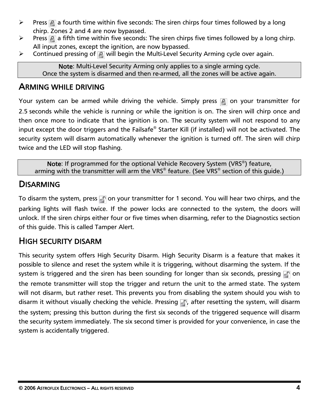- <span id="page-5-0"></span> $\triangleright$  Press **a** a fourth time within five seconds: The siren chirps four times followed by a long chirp. Zones 2 and 4 are now bypassed.
- $\triangleright$  Press **a** a fifth time within five seconds: The siren chirps five times followed by a long chirp. All input zones, except the ignition, are now bypassed.
- $\triangleright$  Continued pressing of  $\blacksquare$  will begin the Multi-Level Security Arming cycle over again.

Note: Multi-Level Security Arming only applies to a single arming cycle. Once the system is disarmed and then re-armed, all the zones will be active again.

### ARMING WHILE DRIVING

Your system can be armed while driving the vehicle. Simply press a on your transmitter for 2.5 seconds while the vehicle is running or while the ignition is on. The siren will chirp once and then once more to indicate that the ignition is on. The security system will not respond to any input except the door triggers and the Failsafe® Starter Kill (if installed) will not be activated. The security system will disarm automatically whenever the ignition is turned off. The siren will chirp twice and the LED will stop flashing.

Note: If programmed for the optional Vehicle Recovery System (VRS<sup>®</sup>) feature, arming with the transmitter will arm the VRS® feature. (See VRS® section of this guide.)

### **DISARMING**

To disarm the system, press on your transmitter for 1 second. You will hear two chirps, and the parking lights will flash twice. If the power locks are connected to the system, the doors will unlock. If the siren chirps either four or five times when disarming, refer to the Diagnostics section of this guide. This is called Tamper Alert.

## HIGH SECURITY DISARM

This security system offers High Security Disarm. High Security Disarm is a feature that makes it possible to silence and reset the system while it is triggering, without disarming the system. If the system is triggered and the siren has been sounding for longer than six seconds, pressing  $\Box$  on the remote transmitter will stop the trigger and return the unit to the armed state. The system will not disarm, but rather reset. This prevents you from disabling the system should you wish to disarm it without visually checking the vehicle. Pressing , after resetting the system, will disarm the system; pressing this button during the first six seconds of the triggered sequence will disarm the security system immediately. The six second timer is provided for your convenience, in case the system is accidentally triggered.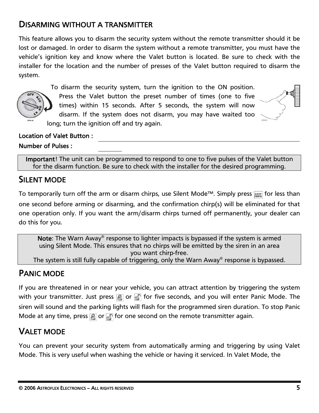# <span id="page-6-0"></span>DISARMING WITHOUT A TRANSMITTER

This feature allows you to disarm the security system without the remote transmitter should it be lost or damaged. In order to disarm the system without a remote transmitter, you must have the vehicle's ignition key and know where the Valet button is located. Be sure to check with the installer for the location and the number of presses of the Valet button required to disarm the system.



To disarm the security system, turn the ignition to the ON position. Press the Valet button the preset number of times (one to five times) within 15 seconds. After 5 seconds, the system will now disarm. If the system does not disarm, you may have waited too long; turn the ignition off and try again.



### Location of Valet Button :

### Number of Pulses :

Important! The unit can be programmed to respond to one to five pulses of the Valet button for the disarm function. Be sure to check with the installer for the desired programming.

## SILENT MODE

To temporarily turn off the arm or disarm chirps, use Silent Mode™. Simply press and for less than one second before arming or disarming, and the confirmation chirp(s) will be eliminated for that one operation only. If you want the arm/disarm chirps turned off permanently, your dealer can do this for you.

Note: The Warn Away<sup>®</sup> response to lighter impacts is bypassed if the system is armed using Silent Mode. This ensures that no chirps will be emitted by the siren in an area you want chirp-free.

The system is still fully capable of triggering, only the Warn Away® response is bypassed.

## PANIC MODE

If you are threatened in or near your vehicle, you can attract attention by triggering the system with your transmitter. Just press  $\mathbb R$  or  $\mathbb R$  for five seconds, and you will enter Panic Mode. The siren will sound and the parking lights will flash for the programmed siren duration. To stop Panic Mode at any time, press  $\mathbb{R}$  or  $\mathbb{R}$  for one second on the remote transmitter again.

## VALET MODE

You can prevent your security system from automatically arming and triggering by using Valet Mode. This is very useful when washing the vehicle or having it serviced. In Valet Mode, the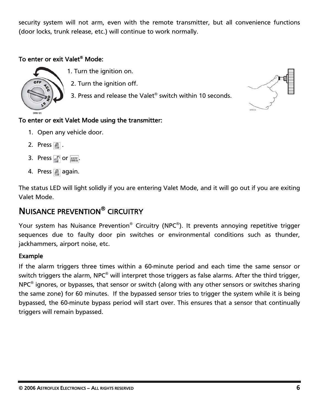<span id="page-7-0"></span>security system will not arm, even with the remote transmitter, but all convenience functions (door locks, trunk release, etc.) will continue to work normally.

### To enter or exit Valet® Mode:



- 1. Turn the ignition on.
- 2. Turn the ignition off.
	- 3. Press and release the Valet® switch within 10 seconds.

### To enter or exit Valet Mode using the transmitter:

- 1. Open any vehicle door.
- 2. Press **P**.
- 3. Press  $\mathbb{S}$  or  $\mathbb{A}\mathbb{I}$ .
- 4. Press **a** again.

The status LED will light solidly if you are entering Valet Mode, and it will go out if you are exiting Valet Mode.

# NUISANCE PREVENTION® CIRCUITRY

Your system has Nuisance Prevention<sup>®</sup> Circuitry (NPC<sup>®</sup>). It prevents annoying repetitive trigger sequences due to faulty door pin switches or environmental conditions such as thunder, jackhammers, airport noise, etc.

### Example

If the alarm triggers three times within a 60-minute period and each time the same sensor or switch triggers the alarm, NPC<sup>®</sup> will interpret those triggers as false alarms. After the third trigger,  $NPC<sup>®</sup>$  ignores, or bypasses, that sensor or switch (along with any other sensors or switches sharing the same zone) for 60 minutes. If the bypassed sensor tries to trigger the system while it is being bypassed, the 60-minute bypass period will start over. This ensures that a sensor that continually triggers will remain bypassed.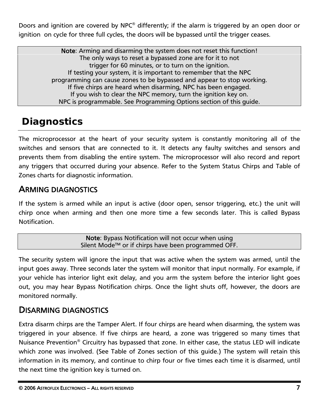<span id="page-8-0"></span>Doors and ignition are covered by NPC® differently; if the alarm is triggered by an open door or ignition on cycle for three full cycles, the doors will be bypassed until the trigger ceases.

> Note: Arming and disarming the system does not reset this function! The only ways to reset a bypassed zone are for it to not trigger for 60 minutes, or to turn on the ignition. If testing your system, it is important to remember that the NPC programming can cause zones to be bypassed and appear to stop working. If five chirps are heard when disarming, NPC has been engaged. If you wish to clear the NPC memory, turn the ignition key on. NPC is programmable. See Programming Options section of this guide.

# *Diagnostics*

The microprocessor at the heart of your security system is constantly monitoring all of the switches and sensors that are connected to it. It detects any faulty switches and sensors and prevents them from disabling the entire system. The microprocessor will also record and report any triggers that occurred during your absence. Refer to the System Status Chirps and Table of Zones charts for diagnostic information.

# ARMING DIAGNOSTICS

If the system is armed while an input is active (door open, sensor triggering, etc.) the unit will chirp once when arming and then one more time a few seconds later. This is called Bypass Notification.

> Note: Bypass Notification will not occur when using Silent Mode™ or if chirps have been programmed OFF.

The security system will ignore the input that was active when the system was armed, until the input goes away. Three seconds later the system will monitor that input normally. For example, if your vehicle has interior light exit delay, and you arm the system before the interior light goes out, you may hear Bypass Notification chirps. Once the light shuts off, however, the doors are monitored normally.

## DISARMING DIAGNOSTICS

Extra disarm chirps are the Tamper Alert. If four chirps are heard when disarming, the system was triggered in your absence. If five chirps are heard, a zone was triggered so many times that Nuisance Prevention® Circuitry has bypassed that zone. In either case, the status LED will indicate which zone was involved. (See Table of Zones section of this guide.) The system will retain this information in its memory, and continue to chirp four or five times each time it is disarmed, until the next time the ignition key is turned on.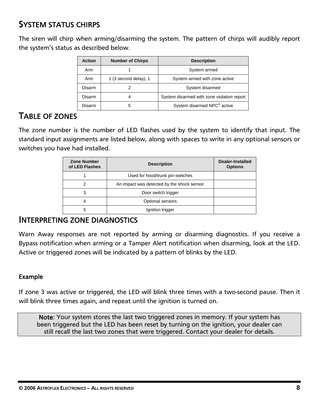# <span id="page-9-0"></span>SYSTEM STATUS CHIRPS

The siren will chirp when arming/disarming the system. The pattern of chirps will audibly report the system's status as described below.

| <b>Action</b> | <b>Number of Chirps</b>                         | <b>Description</b>                      |
|---------------|-------------------------------------------------|-----------------------------------------|
| Arm           |                                                 | System armed                            |
| Arm           | 1 (3 second delay), 1                           | System armed with zone active           |
| Disarm        |                                                 | System disarmed                         |
| Disarm        | System disarmed with zone violation report<br>Δ |                                         |
| Disarm        | 5                                               | System disarmed NPC <sup>®</sup> active |

### TABLE OF ZONES

The zone number is the number of LED flashes used by the system to identify that input. The standard input assignments are listed below, along with spaces to write in any optional sensors or switches you have had installed.

| <b>Zone Number</b><br>of LED Flashes | <b>Description</b>                         | <b>Dealer-Installed</b><br><b>Options</b> |
|--------------------------------------|--------------------------------------------|-------------------------------------------|
|                                      | Used for hood/trunk pin-switches           |                                           |
| 2                                    | An impact was detected by the shock sensor |                                           |
| 3                                    | Door switch trigger                        |                                           |
| 4                                    | Optional sensors                           |                                           |
| 5                                    | Ignition trigger                           |                                           |

### INTERPRETING ZONE DIAGNOSTICS

Warn Away responses are not reported by arming or disarming diagnostics. If you receive a Bypass notification when arming or a Tamper Alert notification when disarming, look at the LED. Active or triggered zones will be indicated by a pattern of blinks by the LED.

### Example

If zone 3 was active or triggered, the LED will blink three times with a two-second pause. Then it will blink three times again, and repeat until the ignition is turned on.

Note: Your system stores the last two triggered zones in memory. If your system has been triggered but the LED has been reset by turning on the ignition, your dealer can still recall the last two zones that were triggered. Contact your dealer for details.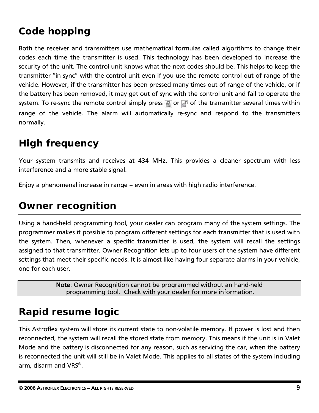# <span id="page-10-0"></span>*Code hopping*

Both the receiver and transmitters use mathematical formulas called algorithms to change their codes each time the transmitter is used. This technology has been developed to increase the security of the unit. The control unit knows what the next codes should be. This helps to keep the transmitter "in sync" with the control unit even if you use the remote control out of range of the vehicle. However, if the transmitter has been pressed many times out of range of the vehicle, or if the battery has been removed, it may get out of sync with the control unit and fail to operate the system. To re-sync the remote control simply press  $\mathbb{R}$  or  $\mathbb{R}$  of the transmitter several times within range of the vehicle. The alarm will automatically re-sync and respond to the transmitters normally.

# *High frequency*

Your system transmits and receives at 434 MHz. This provides a cleaner spectrum with less interference and a more stable signal.

Enjoy a phenomenal increase in range – even in areas with high radio interference.

# *Owner recognition*

Using a hand-held programming tool, your dealer can program many of the system settings. The programmer makes it possible to program different settings for each transmitter that is used with the system. Then, whenever a specific transmitter is used, the system will recall the settings assigned to that transmitter. Owner Recognition lets up to four users of the system have different settings that meet their specific needs. It is almost like having four separate alarms in your vehicle, one for each user.

> Note: Owner Recognition cannot be programmed without an hand-held programming tool. Check with your dealer for more information.

# *Rapid resume logic*

This Astroflex system will store its current state to non-volatile memory. If power is lost and then reconnected, the system will recall the stored state from memory. This means if the unit is in Valet Mode and the battery is disconnected for any reason, such as servicing the car, when the battery is reconnected the unit will still be in Valet Mode. This applies to all states of the system including arm, disarm and VRS®.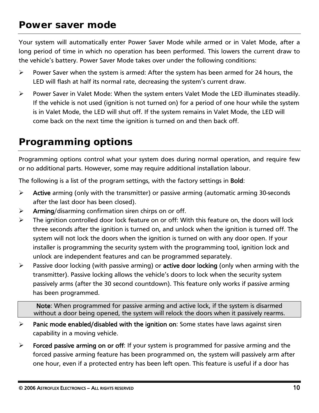# <span id="page-11-0"></span>*Power saver mode*

Your system will automatically enter Power Saver Mode while armed or in Valet Mode, after a long period of time in which no operation has been performed. This lowers the current draw to the vehicle's battery. Power Saver Mode takes over under the following conditions:

- ¾ Power Saver when the system is armed: After the system has been armed for 24 hours, the LED will flash at half its normal rate, decreasing the system's current draw.
- ¾ Power Saver in Valet Mode: When the system enters Valet Mode the LED illuminates steadily. If the vehicle is not used (ignition is not turned on) for a period of one hour while the system is in Valet Mode, the LED will shut off. If the system remains in Valet Mode, the LED will come back on the next time the ignition is turned on and then back off.

# *Programming options*

Programming options control what your system does during normal operation, and require few or no additional parts. However, some may require additional installation labour.

The following is a list of the program settings, with the factory settings in Bold:

- $\triangleright$  Active arming (only with the transmitter) or passive arming (automatic arming 30-seconds after the last door has been closed).
- $\triangleright$  Arming/disarming confirmation siren chirps on or off.
- $\triangleright$  The ignition controlled door lock feature on or off: With this feature on, the doors will lock three seconds after the ignition is turned on, and unlock when the ignition is turned off. The system will not lock the doors when the ignition is turned on with any door open. If your installer is programming the security system with the programming tool, ignition lock and unlock are independent features and can be programmed separately.
- $\triangleright$  Passive door locking (with passive arming) or active door locking (only when arming with the transmitter). Passive locking allows the vehicle's doors to lock when the security system passively arms (after the 30 second countdown). This feature only works if passive arming has been programmed.

Note: When programmed for passive arming and active lock, if the system is disarmed without a door being opened, the system will relock the doors when it passively rearms.

- $\triangleright$  Panic mode enabled/disabled with the ignition on: Some states have laws against siren capability in a moving vehicle.
- $\triangleright$  Forced passive arming on or off: If your system is programmed for passive arming and the forced passive arming feature has been programmed on, the system will passively arm after one hour, even if a protected entry has been left open. This feature is useful if a door has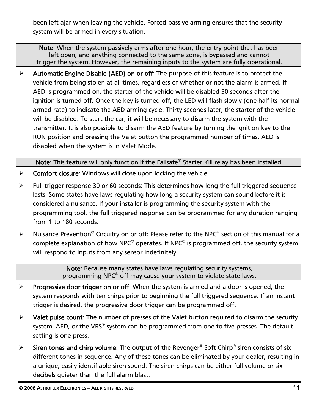been left ajar when leaving the vehicle. Forced passive arming ensures that the security system will be armed in every situation.

Note: When the system passively arms after one hour, the entry point that has been left open, and anything connected to the same zone, is bypassed and cannot trigger the system. However, the remaining inputs to the system are fully operational.

 $\triangleright$  Automatic Engine Disable (AED) on or off: The purpose of this feature is to protect the vehicle from being stolen at all times, regardless of whether or not the alarm is armed. If AED is programmed on, the starter of the vehicle will be disabled 30 seconds after the ignition is turned off. Once the key is turned off, the LED will flash slowly (one-half its normal armed rate) to indicate the AED arming cycle. Thirty seconds later, the starter of the vehicle will be disabled. To start the car, it will be necessary to disarm the system with the transmitter. It is also possible to disarm the AED feature by turning the ignition key to the RUN position and pressing the Valet button the programmed number of times. AED is disabled when the system is in Valet Mode.

Note: This feature will only function if the Failsafe® Starter Kill relay has been installed.

- $\triangleright$  Comfort closure: Windows will close upon locking the vehicle.
- ¾ Full trigger response 30 or 60 seconds: This determines how long the full triggered sequence lasts. Some states have laws regulating how long a security system can sound before it is considered a nuisance. If your installer is programming the security system with the programming tool, the full triggered response can be programmed for any duration ranging from 1 to 180 seconds.
- Extemdance Prevention<sup>®</sup> Circuitry on or off: Please refer to the NPC<sup>®</sup> section of this manual for a complete explanation of how NPC<sup>®</sup> operates. If NPC<sup>®</sup> is programmed off, the security system will respond to inputs from any sensor indefinitely.

Note: Because many states have laws regulating security systems, programming NPC® off may cause your system to violate state laws.

- $\triangleright$  Progressive door trigger on or off: When the system is armed and a door is opened, the system responds with ten chirps prior to beginning the full triggered sequence. If an instant trigger is desired, the progressive door trigger can be programmed off.
- $\triangleright$  Valet pulse count: The number of presses of the Valet button required to disarm the security system, AED, or the VRS® system can be programmed from one to five presses. The default setting is one press.
- $\triangleright$  Siren tones and chirp volume: The output of the Revenger<sup>®</sup> Soft Chirp<sup>®</sup> siren consists of six different tones in sequence. Any of these tones can be eliminated by your dealer, resulting in a unique, easily identifiable siren sound. The siren chirps can be either full volume or six decibels quieter than the full alarm blast.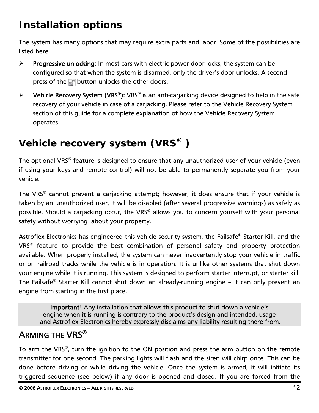<span id="page-13-0"></span>The system has many options that may require extra parts and labor. Some of the possibilities are listed here.

- $\triangleright$  Progressive unlocking: In most cars with electric power door locks, the system can be configured so that when the system is disarmed, only the driver's door unlocks. A second press of the **putton unlocks** the other doors.
- $\triangleright$  Vehicle Recovery System (VRS<sup>®</sup>): VRS<sup>®</sup> is an anti-carjacking device designed to help in the safe recovery of your vehicle in case of a carjacking. Please refer to the Vehicle Recovery System section of this guide for a complete explanation of how the Vehicle Recovery System operates.

# *Vehicle recovery system (VRS® )*

The optional VRS® feature is designed to ensure that any unauthorized user of your vehicle (even if using your keys and remote control) will not be able to permanently separate you from your vehicle.

The VRS® cannot prevent a carjacking attempt; however, it does ensure that if your vehicle is taken by an unauthorized user, it will be disabled (after several progressive warnings) as safely as possible. Should a carjacking occur, the VRS® allows you to concern yourself with your personal safety without worrying about your property.

Astroflex Electronics has engineered this vehicle security system, the Failsafe® Starter Kill, and the VRS® feature to provide the best combination of personal safety and property protection available. When properly installed, the system can never inadvertently stop your vehicle in traffic or on railroad tracks while the vehicle is in operation. It is unlike other systems that shut down your engine while it is running. This system is designed to perform starter interrupt, or starter kill. The Failsafe® Starter Kill cannot shut down an already-running engine – it can only prevent an engine from starting in the first place.

Important! Any installation that allows this product to shut down a vehicle's engine when it is running is contrary to the product's design and intended, usage and Astroflex Electronics hereby expressly disclaims any liability resulting there from.

# ARMING THE VRS®

To arm the VRS®, turn the ignition to the ON position and press the arm button on the remote transmitter for one second. The parking lights will flash and the siren will chirp once. This can be done before driving or while driving the vehicle. Once the system is armed, it will initiate its triggered sequence (see below) if any door is opened and closed. If you are forced from the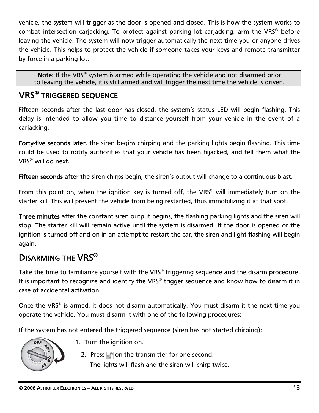<span id="page-14-0"></span>vehicle, the system will trigger as the door is opened and closed. This is how the system works to combat intersection carjacking. To protect against parking lot carjacking, arm the VRS® before leaving the vehicle. The system will now trigger automatically the next time you or anyone drives the vehicle. This helps to protect the vehicle if someone takes your keys and remote transmitter by force in a parking lot.

Note: If the VRS<sup>®</sup> system is armed while operating the vehicle and not disarmed prior to leaving the vehicle, it is still armed and will trigger the next time the vehicle is driven.

# VRS® TRIGGERED SEQUENCE

Fifteen seconds after the last door has closed, the system's status LED will begin flashing. This delay is intended to allow you time to distance yourself from your vehicle in the event of a carjacking.

Forty-five seconds later, the siren begins chirping and the parking lights begin flashing. This time could be used to notify authorities that your vehicle has been hijacked, and tell them what the VRS® will do next.

Fifteen seconds after the siren chirps begin, the siren's output will change to a continuous blast.

From this point on, when the ignition key is turned off, the VRS® will immediately turn on the starter kill. This will prevent the vehicle from being restarted, thus immobilizing it at that spot.

Three minutes after the constant siren output begins, the flashing parking lights and the siren will stop. The starter kill will remain active until the system is disarmed. If the door is opened or the ignition is turned off and on in an attempt to restart the car, the siren and light flashing will begin again.

# DISARMING THE VRS<sup>®</sup>

Take the time to familiarize yourself with the VRS® triggering sequence and the disarm procedure. It is important to recognize and identify the VRS® trigger sequence and know how to disarm it in case of accidental activation.

Once the VRS<sup>®</sup> is armed, it does not disarm automatically. You must disarm it the next time you operate the vehicle. You must disarm it with one of the following procedures:

If the system has not entered the triggered sequence (siren has not started chirping):



- 1. Turn the ignition on.
	- 2. Press  $\Box$  on the transmitter for one second. The lights will flash and the siren will chirp twice.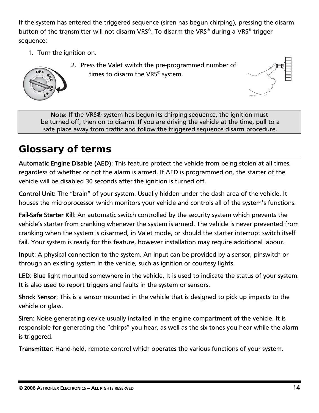<span id="page-15-0"></span>If the system has entered the triggered sequence (siren has begun chirping), pressing the disarm button of the transmitter will not disarm VRS®. To disarm the VRS® during a VRS® trigger sequence:

1. Turn the ignition on.



2. Press the Valet switch the pre-programmed number of times to disarm the VRS® system.



Note: If the VRS<sup>®</sup> system has begun its chirping sequence, the ignition must be turned off, then on to disarm. If you are driving the vehicle at the time, pull to a safe place away from traffic and follow the triggered sequence disarm procedure.

# *Glossary of terms*

Automatic Engine Disable (AED): This feature protect the vehicle from being stolen at all times, regardless of whether or not the alarm is armed. If AED is programmed on, the starter of the vehicle will be disabled 30 seconds after the ignition is turned off.

Control Unit: The "brain" of your system. Usually hidden under the dash area of the vehicle. It houses the microprocessor which monitors your vehicle and controls all of the system's functions.

Fail-Safe Starter Kill: An automatic switch controlled by the security system which prevents the vehicle's starter from cranking whenever the system is armed. The vehicle is never prevented from cranking when the system is disarmed, in Valet mode, or should the starter interrupt switch itself fail. Your system is ready for this feature, however installation may require additional labour.

Input: A physical connection to the system. An input can be provided by a sensor, pinswitch or through an existing system in the vehicle, such as ignition or courtesy lights.

LED: Blue light mounted somewhere in the vehicle. It is used to indicate the status of your system. It is also used to report triggers and faults in the system or sensors.

Shock Sensor: This is a sensor mounted in the vehicle that is designed to pick up impacts to the vehicle or glass.

Siren: Noise generating device usually installed in the engine compartment of the vehicle. It is responsible for generating the "chirps" you hear, as well as the six tones you hear while the alarm is triggered.

Transmitter: Hand-held, remote control which operates the various functions of your system.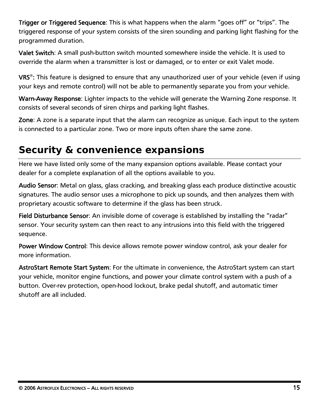<span id="page-16-0"></span>Trigger or Triggered Sequence: This is what happens when the alarm "goes off" or "trips". The triggered response of your system consists of the siren sounding and parking light flashing for the programmed duration.

Valet Switch: A small push-button switch mounted somewhere inside the vehicle. It is used to override the alarm when a transmitter is lost or damaged, or to enter or exit Valet mode.

VRS<sup>®</sup>: This feature is designed to ensure that any unauthorized user of your vehicle (even if using your keys and remote control) will not be able to permanently separate you from your vehicle.

Warn-Away Response: Lighter impacts to the vehicle will generate the Warning Zone response. It consists of several seconds of siren chirps and parking light flashes.

Zone: A zone is a separate input that the alarm can recognize as unique. Each input to the system is connected to a particular zone. Two or more inputs often share the same zone.

# *Security & convenience expansions*

Here we have listed only some of the many expansion options available. Please contact your dealer for a complete explanation of all the options available to you.

Audio Sensor: Metal on glass, glass cracking, and breaking glass each produce distinctive acoustic signatures. The audio sensor uses a microphone to pick up sounds, and then analyzes them with proprietary acoustic software to determine if the glass has been struck.

Field Disturbance Sensor: An invisible dome of coverage is established by installing the "radar" sensor. Your security system can then react to any intrusions into this field with the triggered sequence.

Power Window Control: This device allows remote power window control, ask your dealer for more information.

AstroStart Remote Start System: For the ultimate in convenience, the AstroStart system can start your vehicle, monitor engine functions, and power your climate control system with a push of a button. Over-rev protection, open-hood lockout, brake pedal shutoff, and automatic timer shutoff are all included.